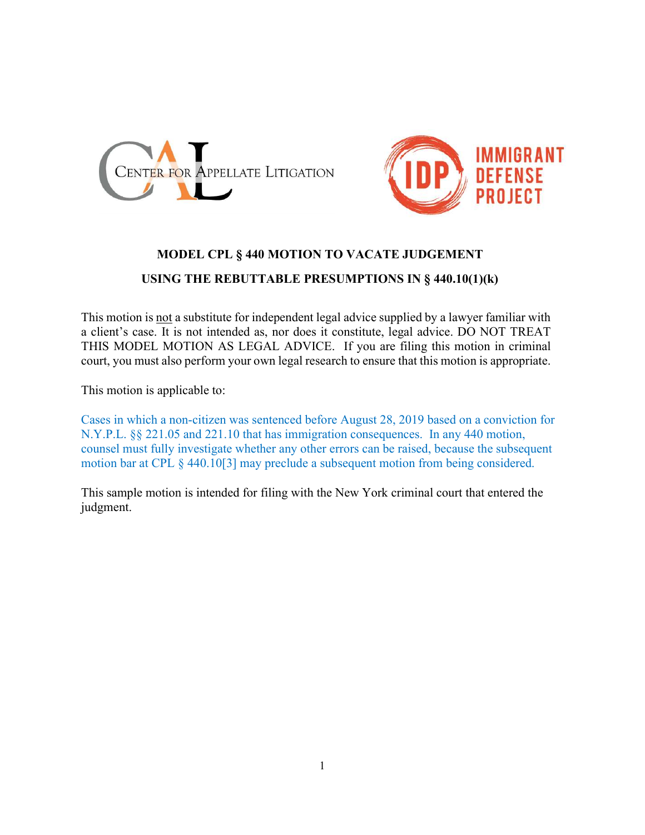



## MODEL CPL § 440 MOTION TO VACATE JUDGEMENT

## USING THE REBUTTABLE PRESUMPTIONS IN § 440.10(1)(k)

This motion is not a substitute for independent legal advice supplied by a lawyer familiar with a client's case. It is not intended as, nor does it constitute, legal advice. DO NOT TREAT THIS MODEL MOTION AS LEGAL ADVICE. If you are filing this motion in criminal court, you must also perform your own legal research to ensure that this motion is appropriate.

This motion is applicable to:

Cases in which a non-citizen was sentenced before August 28, 2019 based on a conviction for N.Y.P.L. §§ 221.05 and 221.10 that has immigration consequences. In any 440 motion, counsel must fully investigate whether any other errors can be raised, because the subsequent motion bar at CPL § 440.10[3] may preclude a subsequent motion from being considered.

This sample motion is intended for filing with the New York criminal court that entered the judgment.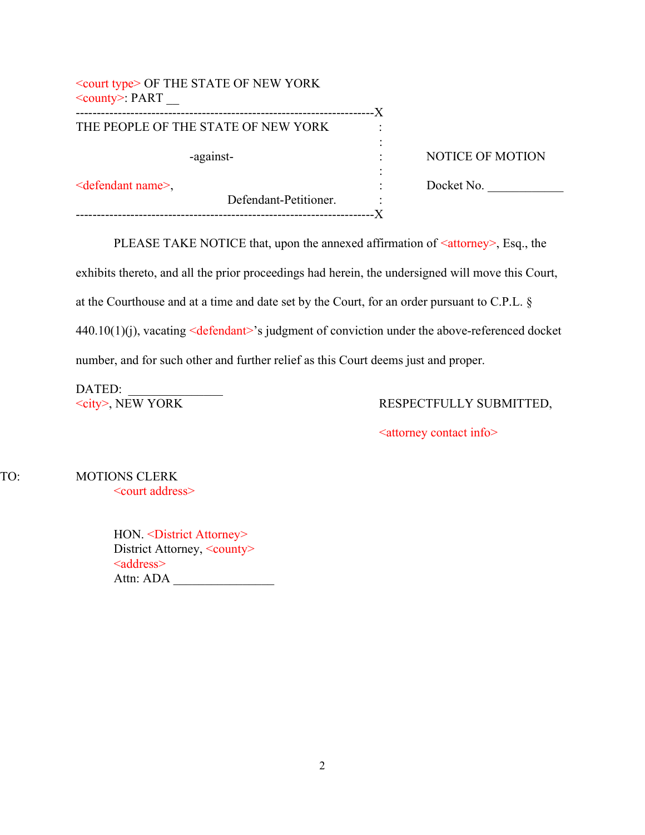| $\leq$ court type $>$ OF THE STATE OF NEW YORK<br>$\le$ county>: PART |                       | -X |                         |
|-----------------------------------------------------------------------|-----------------------|----|-------------------------|
| THE PEOPLE OF THE STATE OF NEW YORK                                   |                       |    |                         |
|                                                                       |                       |    |                         |
| -against-                                                             |                       |    | <b>NOTICE OF MOTION</b> |
|                                                                       |                       | ٠  |                         |
| $\leq$ defendant name $\geq$ ,                                        |                       |    | Docket No.              |
|                                                                       | Defendant-Petitioner. | ٠  |                         |
|                                                                       |                       |    |                         |

PLEASE TAKE NOTICE that, upon the annexed affirmation of  $\leq$  attorney>, Esq., the exhibits thereto, and all the prior proceedings had herein, the undersigned will move this Court, at the Courthouse and at a time and date set by the Court, for an order pursuant to C.P.L. § 440.10(1)(j), vacating <defendant>'s judgment of conviction under the above-referenced docket number, and for such other and further relief as this Court deems just and proper.

DATED:<br>
<br/>
<br/>
<br/>
<br/>
<br/>
<br/>
<br/>
<<br/>EW YORK

### RESPECTFULLY SUBMITTED,

<attorney contact info>

TO: MOTIONS CLERK <court address>

> HON. < District Attorney> District Attorney, <county> <address> Attn: ADA \_\_\_\_\_\_\_\_\_\_\_\_\_\_\_\_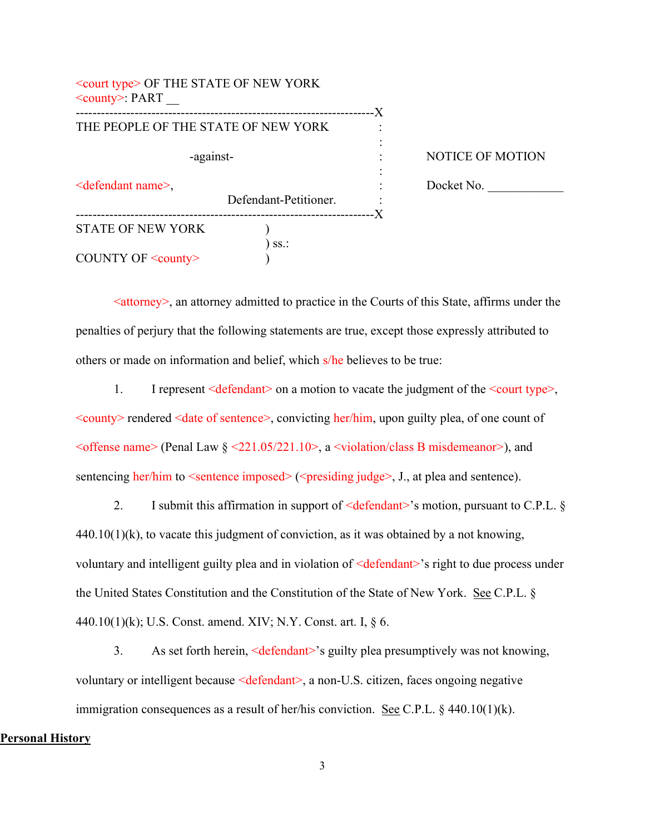| $\leq$ court type $\geq$ OF THE STATE OF NEW YORK<br>$\le$ county>: PART |                       | -X |                         |
|--------------------------------------------------------------------------|-----------------------|----|-------------------------|
| THE PEOPLE OF THE STATE OF NEW YORK                                      |                       |    |                         |
| -against-                                                                |                       |    | <b>NOTICE OF MOTION</b> |
| <defendant name="">,</defendant>                                         | Defendant-Petitioner. | -X | Docket No.              |
| <b>STATE OF NEW YORK</b>                                                 |                       |    |                         |
| COUNTY OF <county></county>                                              | SS.                   |    |                         |

 $\leq$  attorney admitted to practice in the Courts of this State, affirms under the penalties of perjury that the following statements are true, except those expressly attributed to others or made on information and belief, which s/he believes to be true:

1. I represent  $\leq$  defendant $\geq$  on a motion to vacate the judgment of the  $\leq$  court type $\geq$ ,  $\leq$ county> rendered  $\leq$ date of sentence>, convicting her/him, upon guilty plea, of one count of  $\leq$  offense name> (Penal Law  $\zeta \leq 221.05/221.10$ >, a  $\leq$  violation/class B misdemeanor>), and sentencing her/him to  $\leq$ sentence imposed $\geq$  ( $\leq$ presiding judge $>$ , J., at plea and sentence).

2. I submit this affirmation in support of  $\leq$  defendant $\geq$ 's motion, pursuant to C.P.L. §  $440.10(1)$ (k), to vacate this judgment of conviction, as it was obtained by a not knowing, voluntary and intelligent guilty plea and in violation of <defendant>'s right to due process under the United States Constitution and the Constitution of the State of New York. See C.P.L. § 440.10(1)(k); U.S. Const. amend. XIV; N.Y. Const. art. I, § 6.

3. As set forth herein, <defendant>'s guilty plea presumptively was not knowing, voluntary or intelligent because <defendant>, a non-U.S. citizen, faces ongoing negative immigration consequences as a result of her/his conviction. See C.P.L. § 440.10(1)(k).

#### Personal History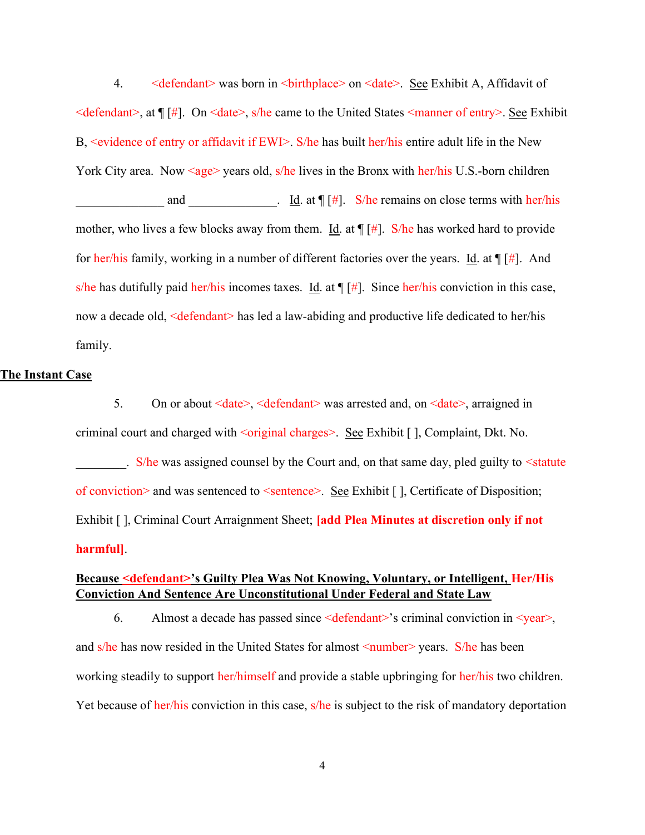4. 
<defendant> was born in <br/>stribution <date>. See Exhibit A, Affidavit of  $\leq$ defendant>, at  $\P[\n\#]$ . On  $\leq$ date>, s/he came to the United States  $\leq$ manner of entry>. See Exhibit B, <evidence of entry or affidavit if EWI>. S/he has built her/his entire adult life in the New York City area. Now  $\langle age \rangle$  years old, s/he lives in the Bronx with her/his U.S.-born children and  $\underline{\text{Id}}$ .  $\underline{\text{Id}}$  at  $\P[\ddot{H}]$ . S/he remains on close terms with her/his mother, who lives a few blocks away from them. Id. at  $\P[\hat{H}]$ . S/he has worked hard to provide for her/his family, working in a number of different factories over the years. Id. at  $\P[\hat{H}]$ . And s/he has dutifully paid her/his incomes taxes. Id. at  $\P[\ddot{\pi}]$ . Since her/his conviction in this case, now a decade old, <defendant> has led a law-abiding and productive life dedicated to her/his family.

#### The Instant Case

5. On or about <date>, <defendant> was arrested and, on <date>, arraigned in criminal court and charged with <original charges>. See Exhibit [ ], Complaint, Dkt. No. . S/he was assigned counsel by the Court and, on that same day, pled guilty to <statute of conviction> and was sentenced to  $\leq$ sentence>. See Exhibit [], Certificate of Disposition; Exhibit [ ], Criminal Court Arraignment Sheet; *[add Plea Minutes at discretion only if not* harmful].

# Because <defendant>'s Guilty Plea Was Not Knowing, Voluntary, or Intelligent, Her/His Conviction And Sentence Are Unconstitutional Under Federal and State Law

6. Almost a decade has passed since  $\leq$  defendant>'s criminal conviction in  $\leq$  year>, and s/he has now resided in the United States for almost  $\leq$ number $\geq$  years. S/he has been working steadily to support her/himself and provide a stable upbringing for her/his two children. Yet because of her/his conviction in this case, s/he is subject to the risk of mandatory deportation

4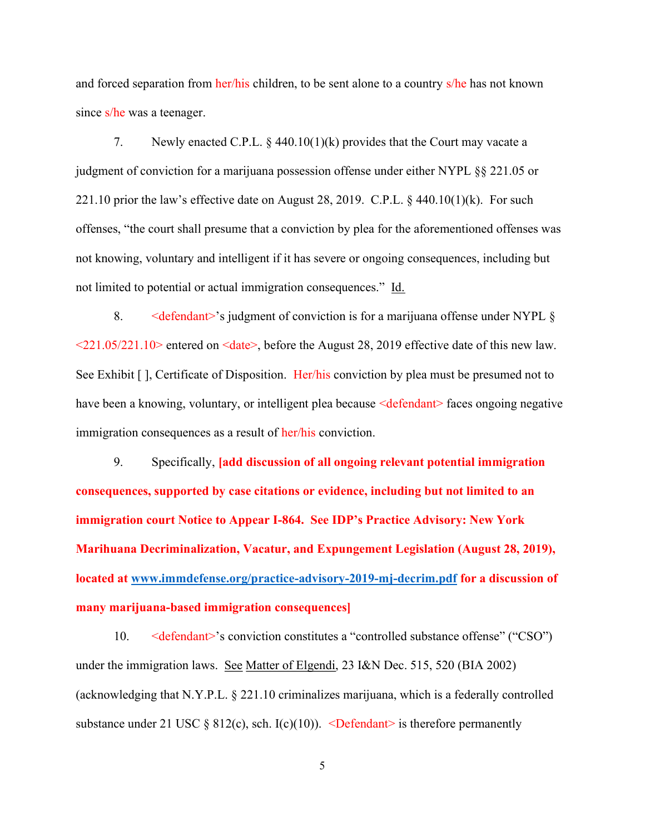and forced separation from her/his children, to be sent alone to a country s/he has not known since s/he was a teenager.

7. Newly enacted C.P.L. § 440.10(1)(k) provides that the Court may vacate a judgment of conviction for a marijuana possession offense under either NYPL §§ 221.05 or 221.10 prior the law's effective date on August 28, 2019. C.P.L.  $\S$  440.10(1)(k). For such offenses, "the court shall presume that a conviction by plea for the aforementioned offenses was not knowing, voluntary and intelligent if it has severe or ongoing consequences, including but not limited to potential or actual immigration consequences." Id.

8.  $\leq$   $\leq$   $\leq$   $\leq$   $\leq$   $\leq$   $\leq$   $\leq$   $\leq$   $\leq$   $\leq$   $\leq$   $\leq$   $\leq$   $\leq$   $\leq$   $\leq$   $\leq$   $\leq$   $\leq$   $\leq$   $\leq$   $\leq$   $\leq$   $\leq$   $\leq$   $\leq$   $\leq$   $\leq$   $\leq$   $\leq$   $\leq$   $\leq$   $\leq$   $\leq$   $\leq$   $\$  $\leq$ 221.05/221.10> entered on  $\leq$ date>, before the August 28, 2019 effective date of this new law. See Exhibit [ ], Certificate of Disposition. Her/his conviction by plea must be presumed not to have been a knowing, voluntary, or intelligent plea because  $\leq$  defendant $\geq$  faces ongoing negative immigration consequences as a result of her/his conviction.

9. Specifically, [add discussion of all ongoing relevant potential immigration consequences, supported by case citations or evidence, including but not limited to an immigration court Notice to Appear I-864. See IDP's Practice Advisory: New York Marihuana Decriminalization, Vacatur, and Expungement Legislation (August 28, 2019), located at www.immdefense.org/practice-advisory-2019-mj-decrim.pdf for a discussion of many marijuana-based immigration consequences]

10. 
<br>  $\leq$  defendant>'s conviction constitutes a "controlled substance offense" ("CSO") under the immigration laws. See Matter of Elgendi, 23 I&N Dec. 515, 520 (BIA 2002) (acknowledging that N.Y.P.L. § 221.10 criminalizes marijuana, which is a federally controlled substance under 21 USC  $\S 812(c)$ , sch. I(c)(10)). <Defendant> is therefore permanently

5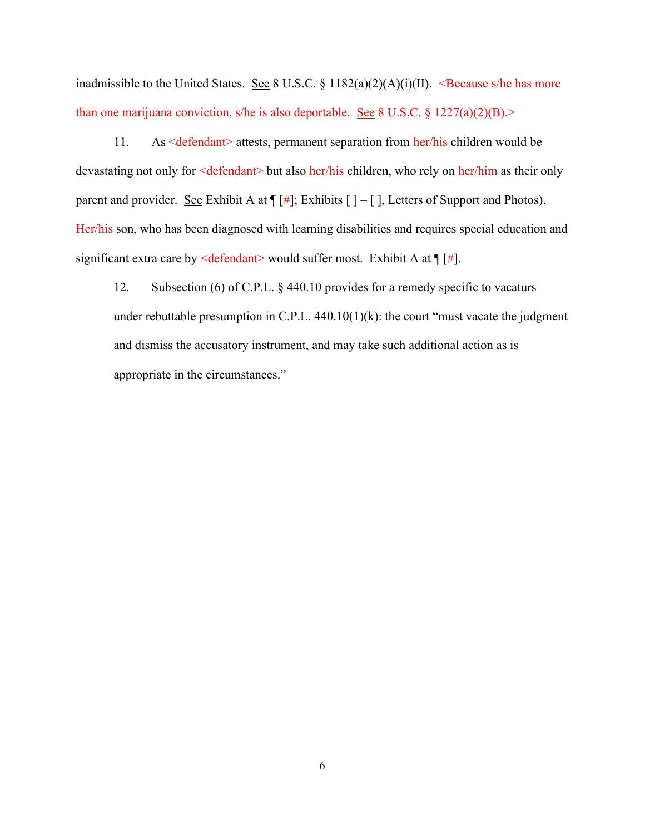inadmissible to the United States. See 8 U.S.C. § 1182(a)(2)(A)(i)(II). <Because s/he has more than one marijuana conviction, s/he is also deportable. See 8 U.S.C.  $\S$  1227(a)(2)(B).>

11. As <defendant> attests, permanent separation from her/his children would be devastating not only for <defendant> but also her/his children, who rely on her/him as their only parent and provider. See Exhibit A at  $\P[\ddagger\ddagger]$ ; Exhibits  $[\ ] - [ ]$ , Letters of Support and Photos). Her/his son, who has been diagnosed with learning disabilities and requires special education and significant extra care by  $\leq$  defendant $\geq$  would suffer most. Exhibit A at  $\P[\ddagger\]]$ .

12. Subsection (6) of C.P.L. § 440.10 provides for a remedy specific to vacaturs under rebuttable presumption in C.P.L.  $440.10(1)(k)$ : the court "must vacate the judgment" and dismiss the accusatory instrument, and may take such additional action as is appropriate in the circumstances."